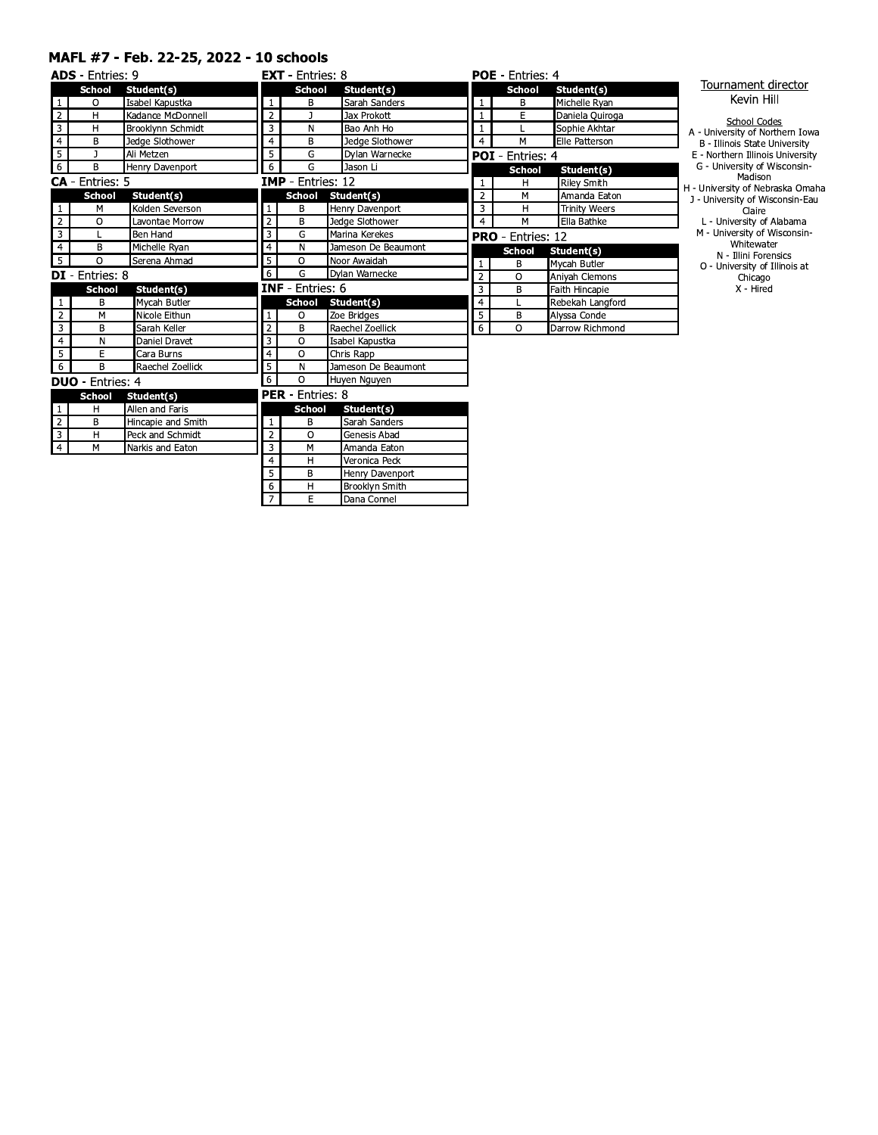#### MAFL #7 - Feb. 22-25, 2022 - 10 schools

|                | <b>ADS</b> - Entries: 9 |                          |                  | <b>EXT</b> - Entries: 8  |                     |                | <b>POE</b> - Entries: 4  |                      |
|----------------|-------------------------|--------------------------|------------------|--------------------------|---------------------|----------------|--------------------------|----------------------|
|                | <b>School</b>           | Student(s)               |                  | <b>School</b>            | Student(s)          |                | <b>School</b>            | Student(s)           |
| $\mathbf{1}$   | O                       | Isabel Kapustka          | $\mathbf{1}$     | B                        | Sarah Sanders       | $\mathbf{1}$   | B                        | Michelle Ryan        |
| $\overline{2}$ | H                       | Kadance McDonnell        | $\overline{2}$   |                          | Jax Prokott         | $\mathbf{1}$   | Ē                        | Daniela Quiroga      |
| 3              | н                       | <b>Brooklynn Schmidt</b> | 3                | N                        | Bao Anh Ho          | 1              |                          | Sophie Akhtar        |
| $\overline{4}$ | B                       | Jedge Slothower          | $\overline{4}$   | B                        | Jedge Slothower     | $\overline{4}$ | M                        | Elle Patterson       |
| $\overline{5}$ | J                       | Ali Metzen               | 5                | G                        | Dylan Warnecke      |                | <b>POI</b> - Entries: 4  |                      |
| $\overline{6}$ | B                       | Henry Davenport          | 6                | G                        | Jason Li            |                | <b>School</b>            | Student(s)           |
|                | <b>CA</b> - Entries: 5  |                          |                  | <b>IMP</b> - Entries: 12 |                     |                | н                        | <b>Riley Smith</b>   |
|                | <b>School</b>           | Student(s)               |                  | <b>School</b>            | Student(s)          | $\overline{2}$ | M                        | Amanda Eaton         |
| $\mathbf{1}$   | M                       | Kolden Severson          | $\mathbf{1}$     | B                        | Henry Davenport     | 3              | H                        | <b>Trinity Weers</b> |
| $\overline{2}$ | $\circ$                 | Lavontae Morrow          | $\overline{2}$   | B                        | Jedge Slothower     | $\overline{4}$ | M                        | Ella Bathke          |
| $\overline{3}$ |                         | Ben Hand                 | 3                | G                        | Marina Kerekes      |                | <b>PRO</b> - Entries: 12 |                      |
| $\overline{4}$ | B                       | Michelle Ryan            | $\overline{4}$   | N                        | Jameson De Beaumont |                | <b>School</b>            | Student(s)           |
| $\overline{5}$ | $\circ$                 | Serena Ahmad             | 5                | $\circ$                  | Noor Awaidah        | $\mathbf{1}$   | В                        | Mycah Butler         |
|                | <b>DI</b> - Entries: 8  |                          | 6                | G                        | Dylan Warnecke      | $\overline{2}$ | $\circ$                  | Aniyah Clemons       |
|                | <b>School</b>           | Student(s)               |                  | <b>INF</b> - Entries: 6  |                     | $\overline{3}$ | B                        | Faith Hincapie       |
| $\mathbf{1}$   | B                       | Mycah Butler             |                  | <b>School</b>            | Student(s)          | $\overline{4}$ | Г                        | Rebekah Langford     |
| $\overline{2}$ | M                       | Nicole Eithun            | 1                | $\circ$                  | Zoe Bridges         | 5              | В                        | Alyssa Conde         |
| $\overline{3}$ | B                       | Sarah Keller             | $\overline{2}$   | B                        | Raechel Zoellick    | 6              | $\Omega$                 | Darrow Richmond      |
| $\overline{4}$ | N                       | Daniel Dravet            | 3                | O                        | Isabel Kapustka     |                |                          |                      |
| 5              | E                       | Cara Burns               | $\overline{4}$   | $\circ$                  | Chris Rapp          |                |                          |                      |
| $\overline{6}$ | B                       | Raechel Zoellick         | 5                | N                        | Jameson De Beaumont |                |                          |                      |
|                | <b>DUO</b> - Entries: 4 |                          | 6                | $\circ$                  | Huyen Nguyen        |                |                          |                      |
|                | <b>School</b>           | Student(s)               |                  | <b>PER</b> - Entries: 8  |                     |                |                          |                      |
| $\mathbf{1}$   | H                       | Allen and Faris          |                  | <b>School</b>            | Student(s)          |                |                          |                      |
| $\overline{2}$ | В                       | Hincapie and Smith       | $\mathbf{1}$     | B                        | Sarah Sanders       |                |                          |                      |
| 3              | H                       | Peck and Schmidt         | $\overline{2}$   | $\circ$                  | Genesis Abad        |                |                          |                      |
| $\overline{4}$ | M                       | Narkis and Eaton         | $\overline{3}$   | M                        | Amanda Eaton        |                |                          |                      |
|                |                         |                          | $\overline{4}$   | H                        | Veronica Peck       |                |                          |                      |
|                |                         |                          | 5                | В                        | Henry Davenport     |                |                          |                      |
|                |                         |                          | $6 \overline{6}$ | H                        | Brooklyn Smith      |                |                          |                      |

 $\overline{7}$ 

 $E$ 

Dana Connel

#### Tournament director Kevin Hill

- School Codes<br>
B University of Northern Iowa<br>
B Illinois State University<br>
E Northern Illinois University<br>
G University of Wisconsin-<br>
Madison<br>
H University of Nebraska Omaha<br>
J University of Wisconsin-Eau<br>
Clai
	-
	-
	-
	- Claire<br>
	L University of Alabama<br>
	M University of Wisconsin-<br>
	Whitewater<br>
	N Illini Forensics<br>
	O University of Illinois at<br>
	Chicago<br>
	X Hired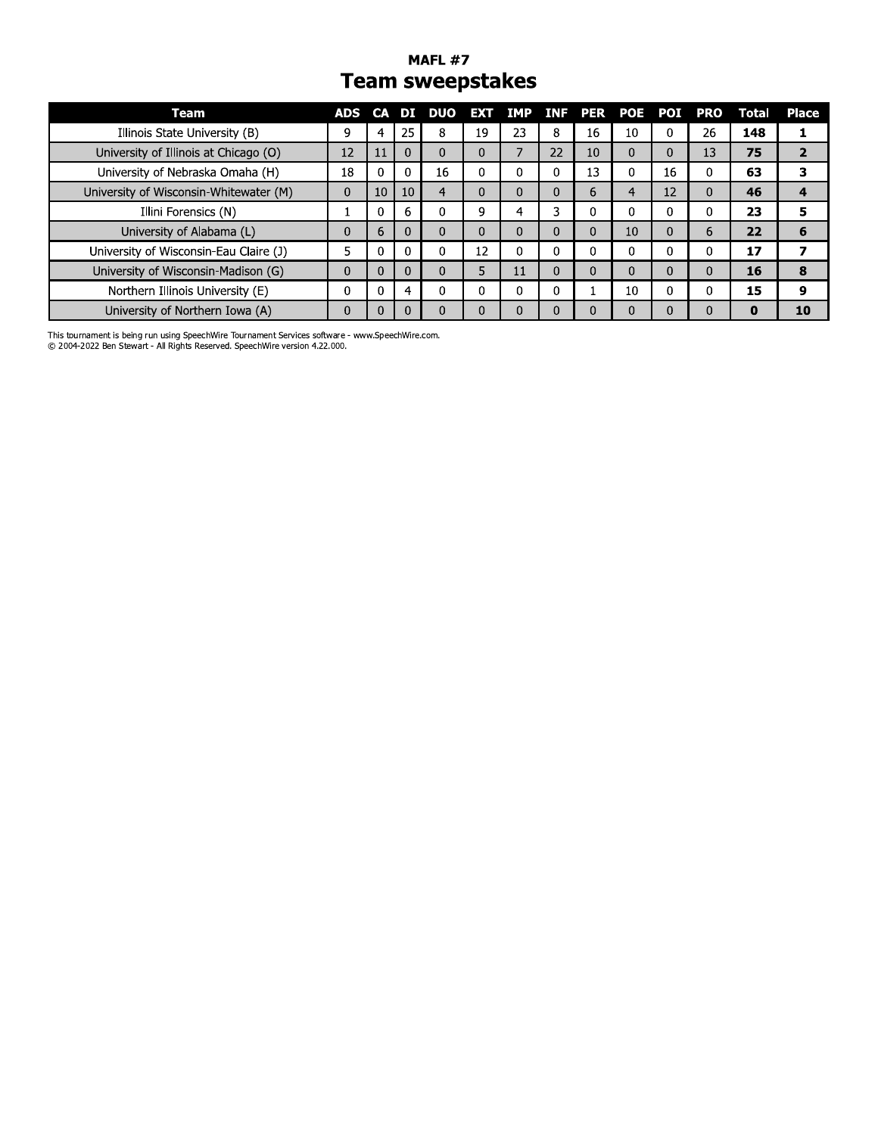#### **MAFL #7 Team sweepstakes**

| Team                                   | <b>ADS</b> | <b>CA</b> |    | DUO          | <b>EXT</b> | <b>IMP</b> | INF. | PER | POE      | POI | PRO | Total | <b>Place</b> |
|----------------------------------------|------------|-----------|----|--------------|------------|------------|------|-----|----------|-----|-----|-------|--------------|
| Illinois State University (B)          | 9          |           | 25 | 8            | 19         | 23         | 8    | 16  | 10       |     | 26  | 148   |              |
| University of Illinois at Chicago (O)  | 12         | 11        | 0  | $\mathbf{0}$ | 0          |            | 22   | 10  | $\Omega$ | 0   | 13  | 75    |              |
| University of Nebraska Omaha (H)       | 18         |           | 0  | 16           | υ          |            | C    | 13  |          | 16  |     | 63    |              |
| University of Wisconsin-Whitewater (M) | 0          | 10        | 10 | 4            | 0          |            | 0    | 6   |          | 12  |     | 46    |              |
| Illini Forensics (N)                   |            |           | 6  | $\Omega$     | 9          | 4          | 3    | 0   |          | 0   |     | 23    | 5            |
| University of Alabama (L)              | 0          | 6         | 0  | 0            | 0          |            | 0    | 0   | 10       | 0   | n   | 22    | 6            |
| University of Wisconsin-Eau Claire (J) | 5          |           |    | 0            | 12         |            |      | 0   |          | 0   |     | 17    |              |
| University of Wisconsin-Madison (G)    | 0          |           | 0  | $\Omega$     | 5          | . .        | 0    | 0   |          | 0   |     | 16    | 8            |
| Northern Illinois University (E)       | 0          |           |    | $\Omega$     | 0          |            |      |     | 10       | 0   |     | 15    | 9            |
| University of Northern Iowa (A)        | C          |           | 0  |              |            |            |      | ι.  |          |     |     | 0     | 10           |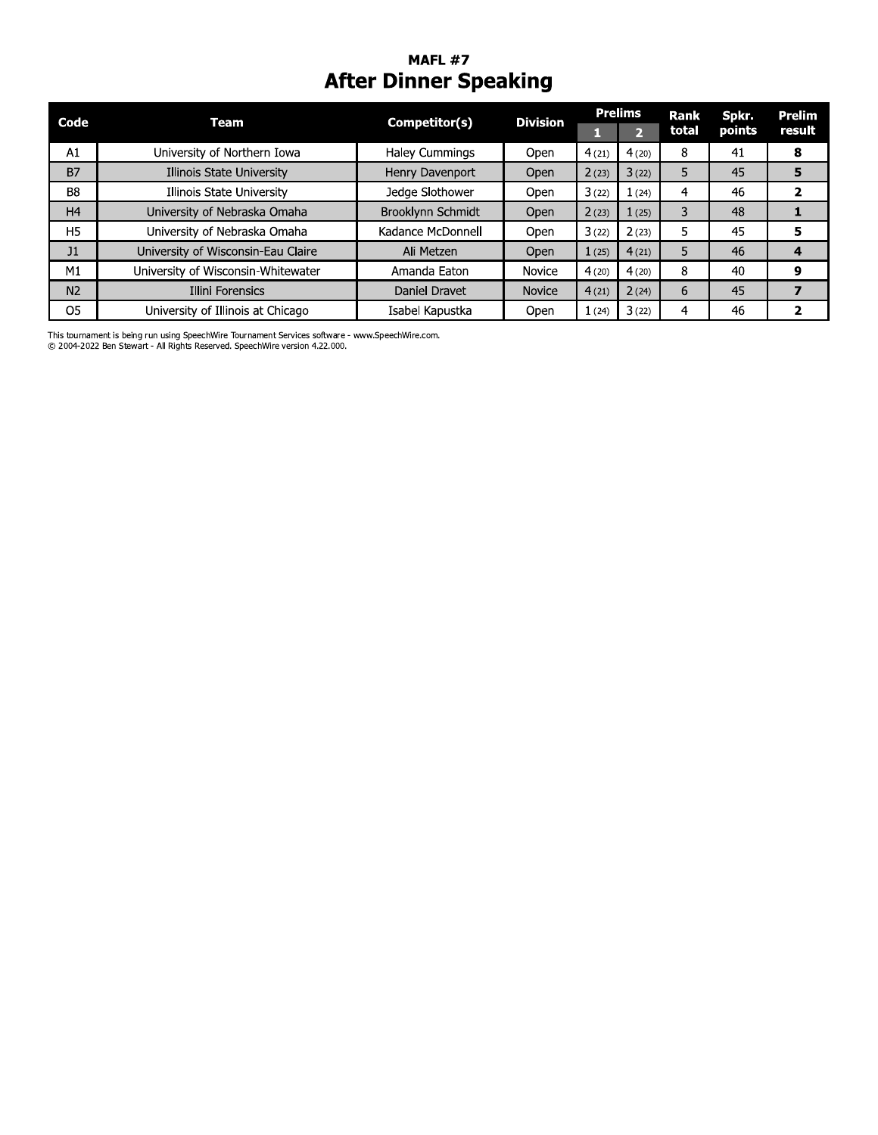#### MAFL  $\#$  / After Dinner Speaking

| Code           | <b>Team</b>                        | Competitor(s)     | <b>Division</b> |       | <b>Prelims</b> | Rank  | Spkr.  | <b>Prelim</b>  |
|----------------|------------------------------------|-------------------|-----------------|-------|----------------|-------|--------|----------------|
|                |                                    |                   |                 | п     | $\overline{2}$ | total | points | result         |
| A1             | University of Northern Iowa        | Haley Cummings    | Open            | 4(21) | 4(20)          | 8     | 41     | 8              |
| <b>B7</b>      | Illinois State University          | Henry Davenport   | Open            | 2(23) | 3(22)          | 5.    | 45     | 5              |
| B <sub>8</sub> | Illinois State University          | Jedge Slothower   | Open            | 3(22) | 1(24)          | 4     | 46     | $\mathbf{z}$   |
| H <sub>4</sub> | University of Nebraska Omaha       | Brooklynn Schmidt | Open            | 2(23) | 1(25)          | 3     | 48     | $\mathbf{1}$   |
| H <sub>5</sub> | University of Nebraska Omaha       | Kadance McDonnell | Open            | 3(22) | 2(23)          | 5     | 45     | 5              |
| J1             | University of Wisconsin-Eau Claire | Ali Metzen        | Open            | 1(25) | 4(21)          | 5     | 46     | 4              |
| M1             | University of Wisconsin-Whitewater | Amanda Eaton      | <b>Novice</b>   | 4(20) | 4(20)          | 8     | 40     | 9              |
| N <sub>2</sub> | Illini Forensics                   | Daniel Dravet     | <b>Novice</b>   | 4(21) | 2(24)          | 6     | 45     | $\overline{ }$ |
| O <sub>5</sub> | University of Illinois at Chicago  | Isabel Kapustka   | Open            | 1(24) | 3(22)          | 4     | 46     | $\mathbf{z}$   |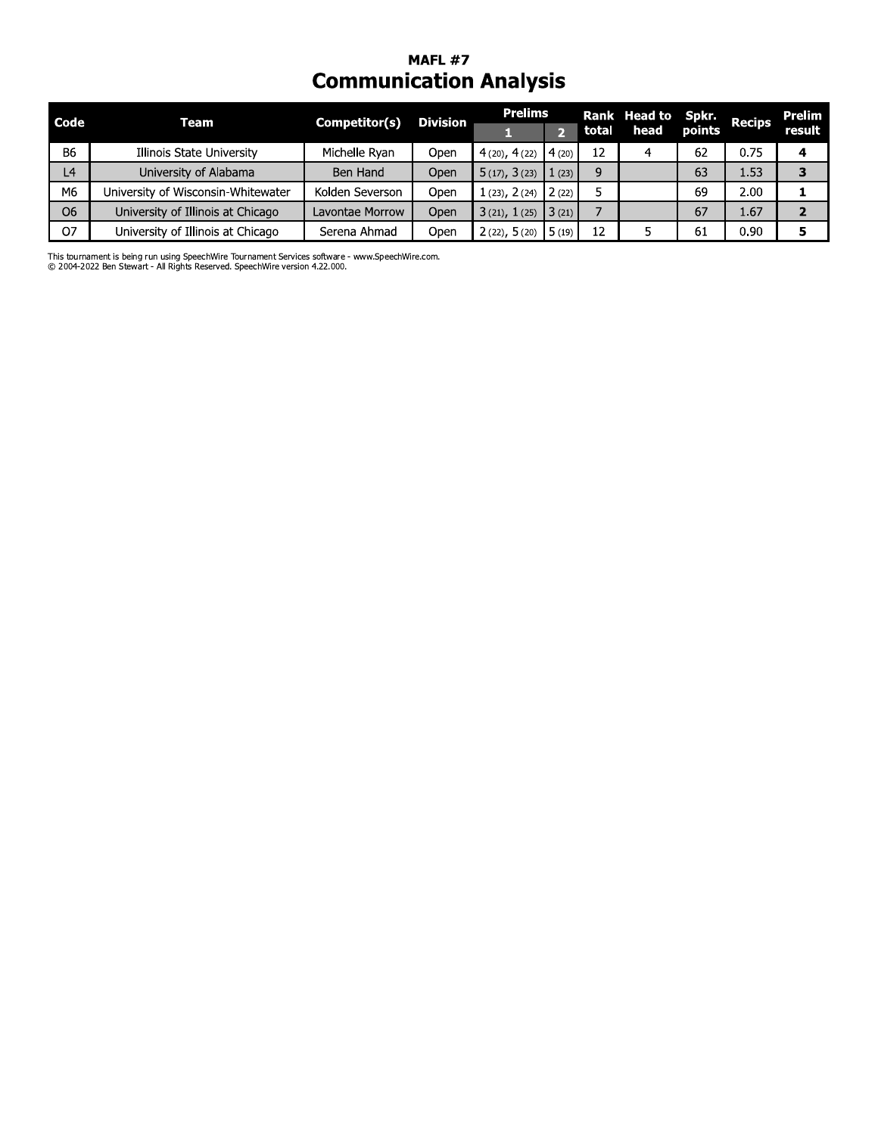# **MAFL #7**<br>Communication Analysis

| Code           | Team                               | Competitor(s)   | <b>Division</b> | <b>Prelims</b>         |                        |       | Rank Head to Spkr. Recips |    |      | Prelim |
|----------------|------------------------------------|-----------------|-----------------|------------------------|------------------------|-------|---------------------------|----|------|--------|
|                |                                    |                 |                 |                        |                        | total | head points               |    |      | result |
| <b>B6</b>      | Illinois State University          | Michelle Rvan   | Open            | $4(20), 4(22)$ $4(20)$ |                        | 12    |                           | 62 | 0.75 |        |
| L <sub>4</sub> | University of Alabama              | Ben Hand        | Open            | 5(17), 3(23)           | $1(23)$ $\blacksquare$ | 9     |                           | 63 | 1.53 |        |
| M6             | University of Wisconsin-Whitewater | Kolden Severson | Open            | $1(23), 2(24)$ 2(22)   |                        |       |                           | 69 | 2.00 |        |
| O <sub>6</sub> | University of Illinois at Chicago  | Lavontae Morrow | Open            | 3(21), 1(25)           | 3(21)                  |       |                           | 67 | 1.67 |        |
| O7             | University of Illinois at Chicago  | Serena Ahmad    | Open            | $2(22), 5(20)$ 5 (19)  |                        | 12    |                           | 61 | 0.90 |        |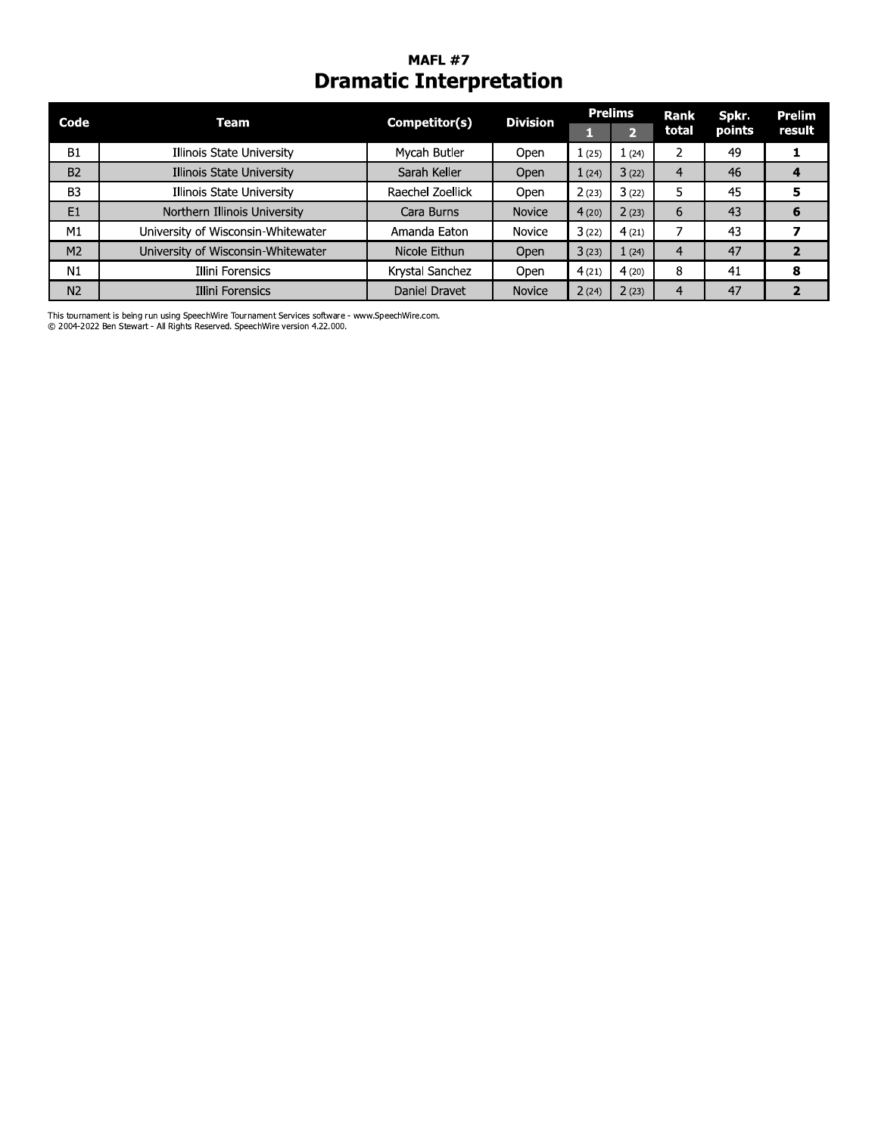#### **MAFL #7 Dramatic Interpretation**

| Code           | Team                               | Competitor(s)    | <b>Division</b> | <b>Prelims</b> |                | <b>Rank</b> | Spkr.  | <b>Prelim</b> |
|----------------|------------------------------------|------------------|-----------------|----------------|----------------|-------------|--------|---------------|
|                |                                    |                  |                 |                | $\overline{2}$ | total       | points | result        |
| <b>B1</b>      | Illinois State University          | Mycah Butler     | Open            | $1$ (25)       | 1(24)          |             | 49     |               |
| <b>B2</b>      | Illinois State University          | Sarah Keller     | Open            | 1(24)          | 3(22)          | 4           | 46     | 4             |
| B <sub>3</sub> | Illinois State University          | Raechel Zoellick | Open            | 2(23)          | 3(22)          | 5           | 45     | 5             |
| E1             | Northern Illinois University       | Cara Burns       | Novice          | 4(20)          | 2(23)          | 6           | 43     | 6             |
| M1             | University of Wisconsin-Whitewater | Amanda Eaton     | Novice          | 3(22)          | 4(21)          |             | 43     |               |
| M <sub>2</sub> | University of Wisconsin-Whitewater | Nicole Eithun    | Open            | 3(23)          | 1(24)          | 4           | 47     |               |
| N1             | Illini Forensics                   | Krystal Sanchez  | Open            | 4(21)          | 4(20)          | 8           | 41     | 8             |
| N <sub>2</sub> | Illini Forensics                   | Daniel Dravet    | <b>Novice</b>   | 2(24)          | 2(23)          |             | 47     |               |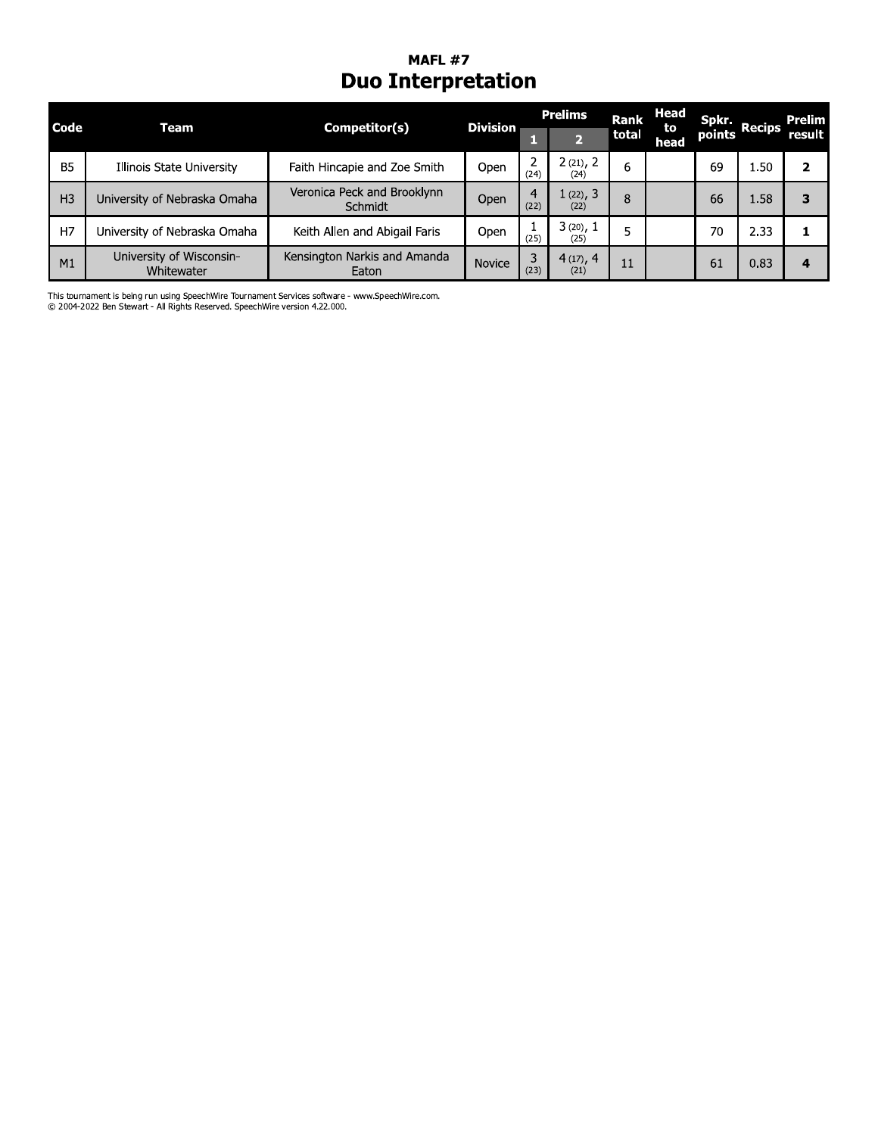#### **MAFL #7 Duo Interpretation**

| <b>Code</b>    | Team                                   | Competitor(s)                          | <b>Division</b> | <b>Prelims</b> |                  | <b>Rank</b> | <b>Head</b><br>to | Spkr. |               | Prelim |
|----------------|----------------------------------------|----------------------------------------|-----------------|----------------|------------------|-------------|-------------------|-------|---------------|--------|
|                |                                        |                                        |                 |                |                  | total       | head              |       | points Recips | result |
| <b>B5</b>      | Illinois State University              | Faith Hincapie and Zoe Smith           | Open            | 2<br>(24)      | 2(21), 2<br>(24) | 6           |                   | 69    | 1.50          | 2      |
| H <sub>3</sub> | University of Nebraska Omaha           | Veronica Peck and Brooklynn<br>Schmidt | Open            | 4<br>(22)      | 1(22), 3<br>(22) | 8           |                   | 66    | 1.58          | 3      |
| H7             | University of Nebraska Omaha           | Keith Allen and Abigail Faris          | Open            | (25)           | 3(20), 1<br>(25) | 5           |                   | 70    | 2.33          |        |
| M1             | University of Wisconsin-<br>Whitewater | Kensington Narkis and Amanda<br>Eaton  | <b>Novice</b>   | 3<br>(23)      | 4(17), 4<br>(21) | 11          |                   | 61    | 0.83          | 4      |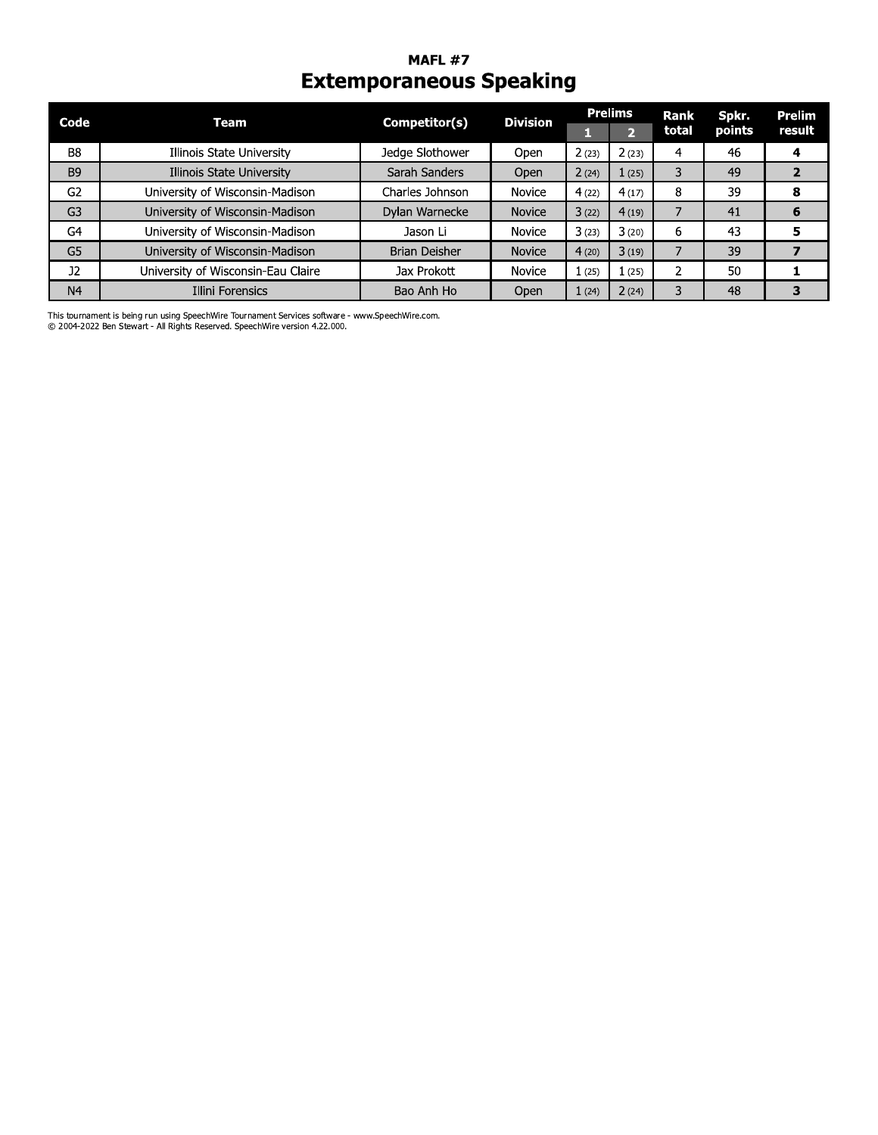#### **MAFL #7 Extemporaneous Speaking**

| Code           | Team                               | Competitor(s)   | <b>Division</b> | <b>Prelims</b> |          | <b>Rank</b> | Spkr.  | <b>Prelim</b> |
|----------------|------------------------------------|-----------------|-----------------|----------------|----------|-------------|--------|---------------|
|                |                                    |                 |                 |                | স        | total       | points | result        |
| B <sub>8</sub> | Illinois State University          | Jedge Slothower | Open            | 2(23)          | 2(23)    | 4           | 46     | 4             |
| B <sub>9</sub> | Illinois State University          | Sarah Sanders   | Open            | 2(24)          | 1(25)    | 3           | 49     |               |
| G2             | University of Wisconsin-Madison    | Charles Johnson | <b>Novice</b>   | 4(22)          | 4(17)    | 8           | 39     | 8             |
| G <sub>3</sub> | University of Wisconsin-Madison    | Dylan Warnecke  | <b>Novice</b>   | 3(22)          | 4(19)    |             | 41     | 6             |
| G4             | University of Wisconsin-Madison    | Jason Li        | Novice          | 3(23)          | 3(20)    | 6           | 43     | 5             |
| G <sub>5</sub> | University of Wisconsin-Madison    | Brian Deisher   | <b>Novice</b>   | 4(20)          | 3(19)    |             | 39     |               |
| <b>J2</b>      | University of Wisconsin-Eau Claire | Jax Prokott     | Novice          | 1(25)          | $1$ (25) |             | 50     |               |
| N <sub>4</sub> | <b>Illini Forensics</b>            | Bao Anh Ho      | Open            | 1(24)          | 2(24)    | 3           | 48     | З             |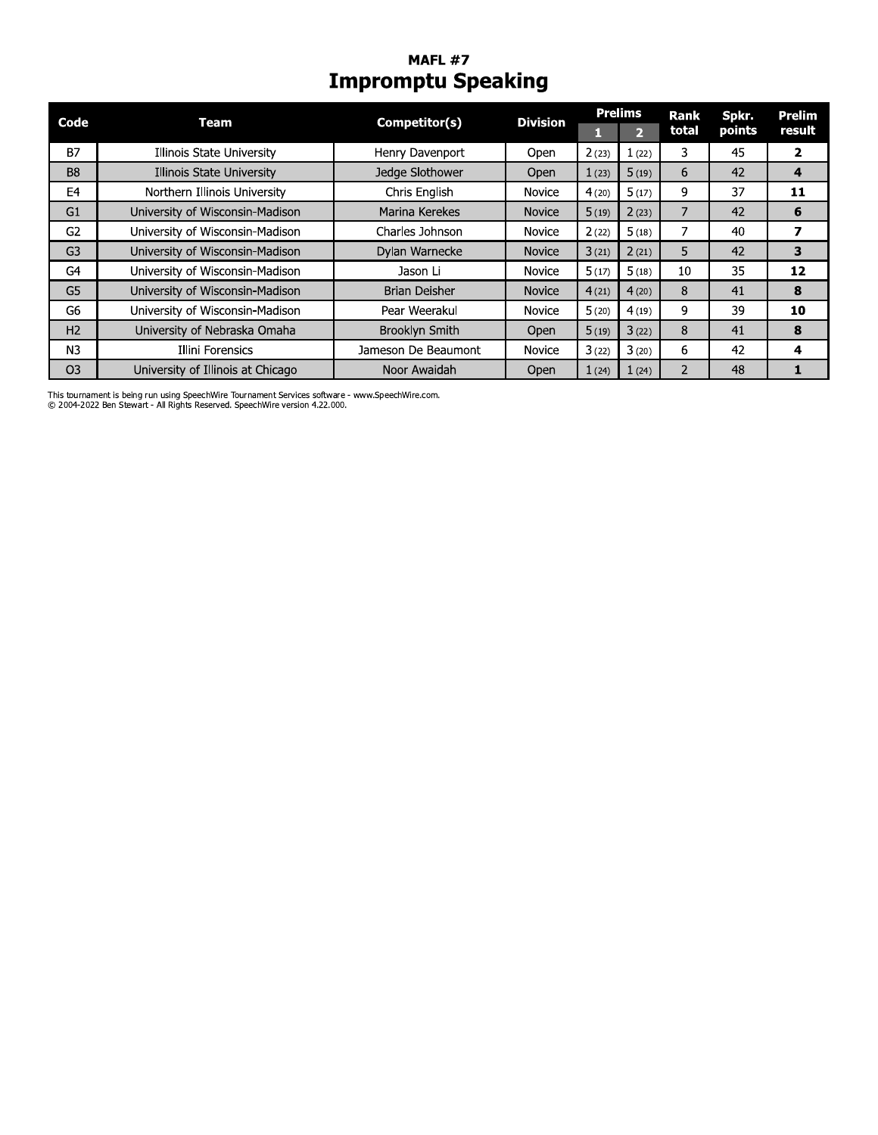# **MAFL #7**<br>Impromptu Speaking

| Code           | Team                              | Competitor(s)        | <b>Division</b> |       | <b>Prelims</b> | Rank  | Spkr.  | Prelim |
|----------------|-----------------------------------|----------------------|-----------------|-------|----------------|-------|--------|--------|
|                |                                   |                      |                 |       | $\overline{2}$ | total | points | result |
| <b>B7</b>      | Illinois State University         | Henry Davenport      | Open            | 2(23) | 1(22)          | 3     | 45     | 2      |
| B <sub>8</sub> | Illinois State University         | Jedge Slothower      | Open            | 1(23) | 5(19)          | 6     | 42     | 4      |
| E <sub>4</sub> | Northern Illinois University      | Chris English        | <b>Novice</b>   | 4(20) | 5(17)          | 9     | 37     | 11     |
| G1             | University of Wisconsin-Madison   | Marina Kerekes       | <b>Novice</b>   | 5(19) | 2(23)          |       | 42     | 6      |
| G <sub>2</sub> | University of Wisconsin-Madison   | Charles Johnson      | Novice          | 2(22) | 5(18)          |       | 40     | 7      |
| G <sub>3</sub> | University of Wisconsin-Madison   | Dylan Warnecke       | <b>Novice</b>   | 3(21) | 2(21)          | 5     | 42     | 3      |
| G <sub>4</sub> | University of Wisconsin-Madison   | Jason Li             | <b>Novice</b>   | 5(17) | 5(18)          | 10    | 35     | 12     |
| G <sub>5</sub> | University of Wisconsin-Madison   | <b>Brian Deisher</b> | <b>Novice</b>   | 4(21) | 4(20)          | 8     | 41     | 8      |
| G6             | University of Wisconsin-Madison   | Pear Weerakul        | Novice          | 5(20) | 4(19)          | 9     | 39     | 10     |
| H <sub>2</sub> | University of Nebraska Omaha      | Brooklyn Smith       | Open            | 5(19) | 3(22)          | 8     | 41     | 8      |
| N <sub>3</sub> | Illini Forensics                  | Jameson De Beaumont  | Novice          | 3(22) | 3(20)          | 6     | 42     | 4      |
| O <sub>3</sub> | University of Illinois at Chicago | Noor Awaidah         | Open            | 1(24) | 1(24)          |       | 48     |        |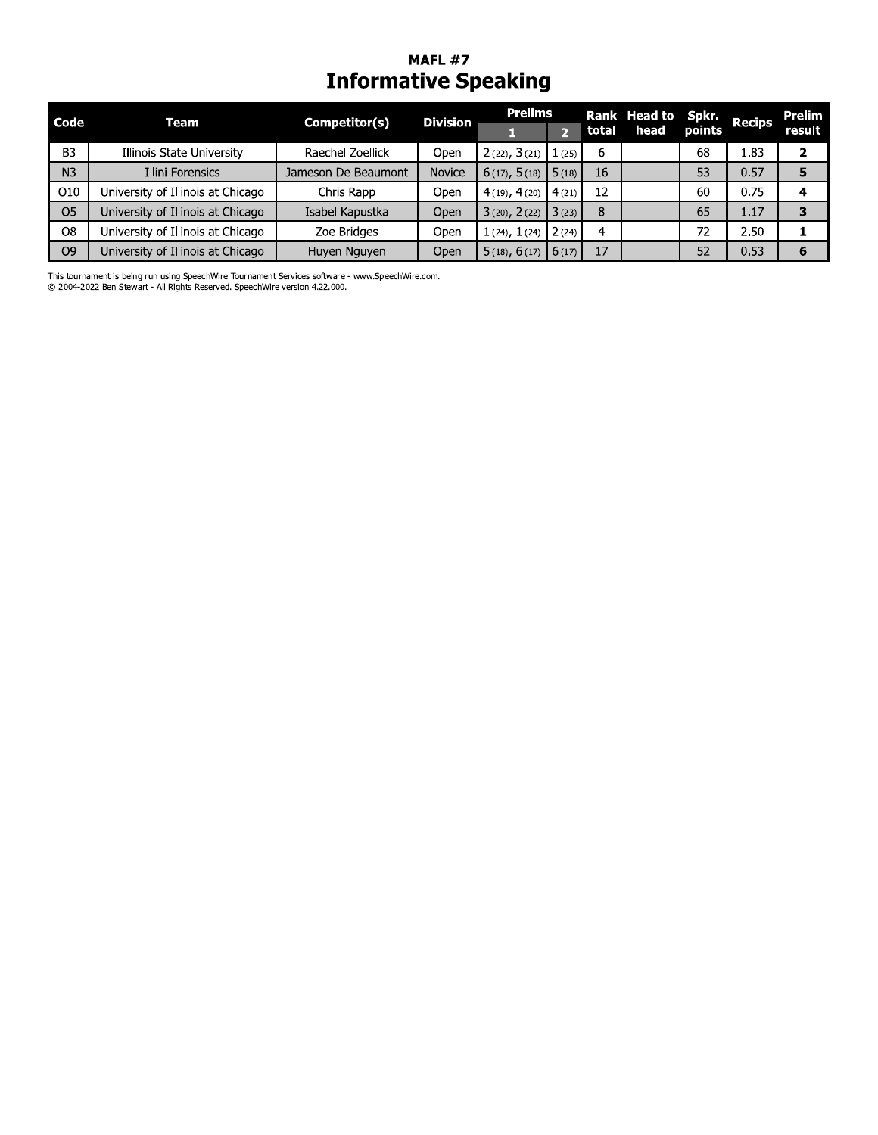#### MAFL  $\#$  / **Informative Speaking**

|                | MAFL #7<br><b>Informative Speaking</b> |                     |                 |                       |                |       |              |        |               |               |  |  |
|----------------|----------------------------------------|---------------------|-----------------|-----------------------|----------------|-------|--------------|--------|---------------|---------------|--|--|
| Code           | Team                                   | Competitor(s)       | <b>Division</b> | <b>Prelims</b>        |                |       | Rank Head to | Spkr.  | <b>Recips</b> | <b>Prelim</b> |  |  |
|                |                                        |                     |                 |                       | $\overline{2}$ | total | head         | points |               | result        |  |  |
| B <sub>3</sub> | Illinois State University              | Raechel Zoellick    | Open            | 2(22), 3(21)          | $, 1$ (25)     | 6     |              | 68     | 1.83          | $\mathbf{2}$  |  |  |
| N <sub>3</sub> | <b>Illini Forensics</b>                | Jameson De Beaumont | <b>Novice</b>   | $6(17), 5(18)$ 5 (18) |                | 16    |              | 53     | 0.57          | 5             |  |  |
| O10            | University of Illinois at Chicago      | Chris Rapp          | Open            | $4(19)$ , $4(20)$     | 4(21)          | 12    |              | 60     | 0.75          | 4             |  |  |
| O <sub>5</sub> | University of Illinois at Chicago      | Isabel Kapustka     | Open            | 3(20), 2(22)          | 13(23)         | 8     |              | 65     | 1.17          | 3             |  |  |
| O <sub>8</sub> | University of Illinois at Chicago      | Zoe Bridges         | Open            | 1(24), 1(24)          | 2(24)          | 4     |              | 72     | 2.50          | ı.            |  |  |
| O <sub>9</sub> | University of Illinois at Chicago      | Huyen Nguyen        | Open            | $5(18), 6(17)$ 6(17)  |                | 17    |              | 52     | 0.53          | 6             |  |  |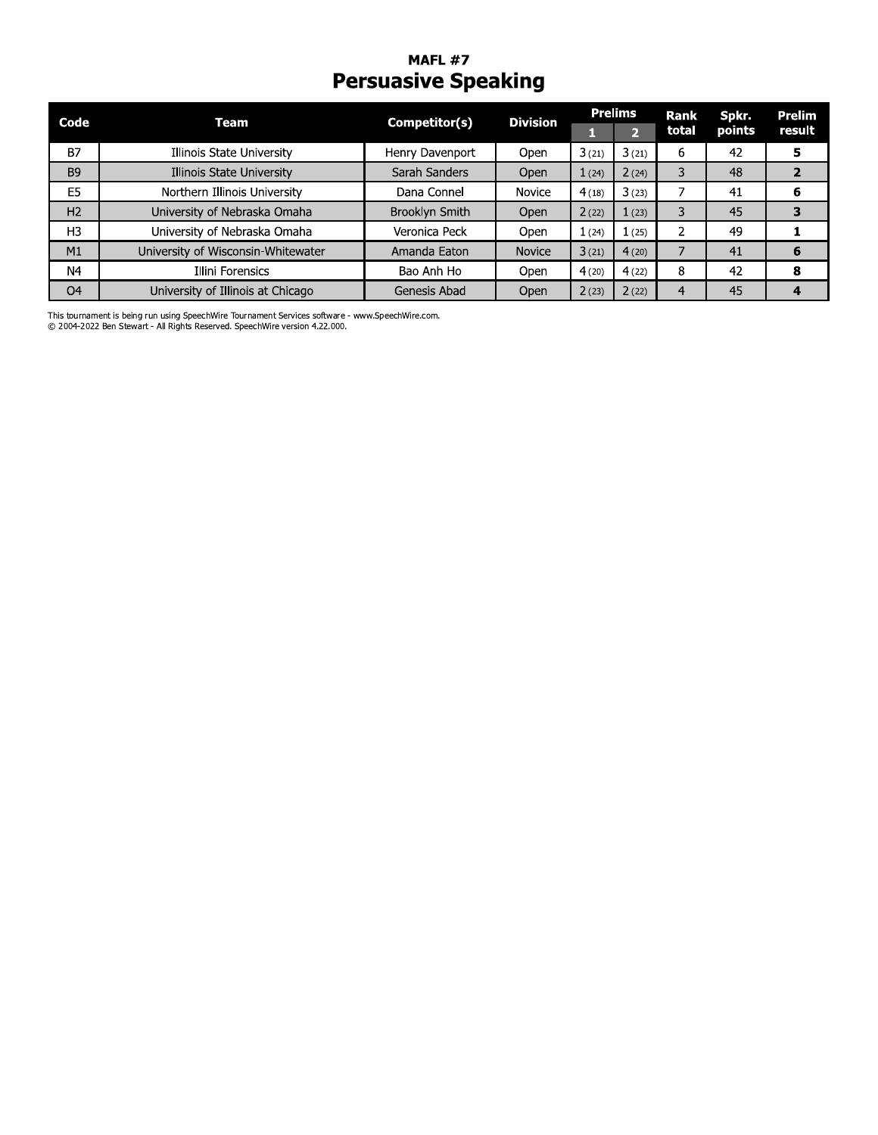# MAFL #7<br>**Persuasive Speaking**

| Code           | Team                               | Competitor(s)   | <b>Division</b> | <b>Prelims</b> |              | <b>Rank</b> | Spkr.  | Prelim |
|----------------|------------------------------------|-----------------|-----------------|----------------|--------------|-------------|--------|--------|
|                |                                    |                 |                 |                | $\mathbf{D}$ | total       | points | result |
| <b>B7</b>      | Illinois State University          | Henry Davenport | Open            | 3(21)          | 3(21)        | 6           | 42     | 5      |
| B <sub>9</sub> | Illinois State University          | Sarah Sanders   | Open            | 1(24)          | 2(24)        |             | 48     |        |
| E <sub>5</sub> | Northern Illinois University       | Dana Connel     | Novice          | 4(18)          | 3(23)        |             | 41     | 6      |
| H <sub>2</sub> | University of Nebraska Omaha       | Brooklyn Smith  | Open            | 2(22)          | 1(23)        |             | 45     |        |
| H <sub>3</sub> | University of Nebraska Omaha       | Veronica Peck   | Open            | 1(24)          | (25)         |             | 49     |        |
| M1             | University of Wisconsin-Whitewater | Amanda Eaton    | <b>Novice</b>   | 3(21)          | 4(20)        |             | 41     | 6      |
| N4             | Illini Forensics                   | Bao Anh Ho      | Open            | 4(20)          | 4(22)        | 8           | 42     | 8      |
| O <sub>4</sub> | University of Illinois at Chicago  | Genesis Abad    | Open            | 2(23)          | 2(22)        | 4           | 45     | 4      |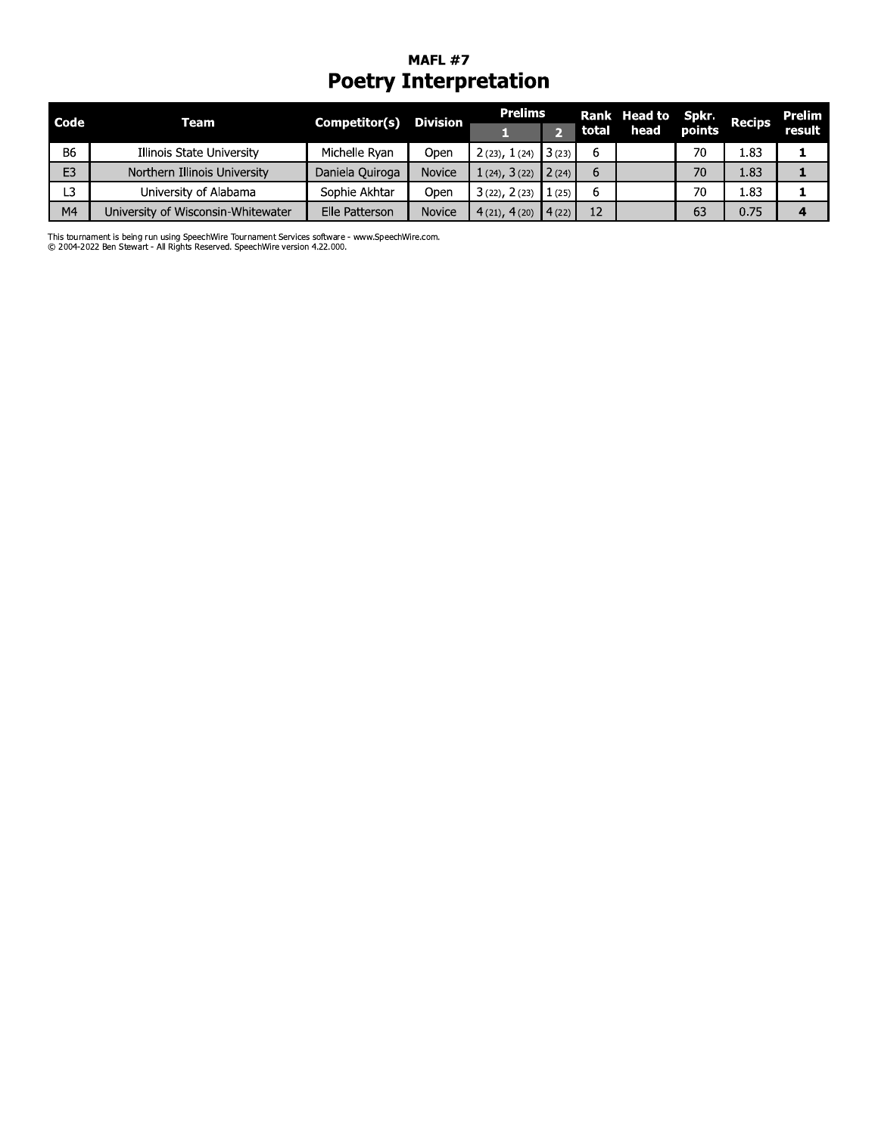#### MAFL  $\#$  / Poetry Interpretation

|                |                                    | <b>Poetry Interpretation</b> |                 |                |                |       |                             |                 |               |                  |
|----------------|------------------------------------|------------------------------|-----------------|----------------|----------------|-------|-----------------------------|-----------------|---------------|------------------|
| Code           | Team                               | Competitor(s)                | <b>Division</b> | <b>Prelims</b> | 2 <sup>1</sup> | total | <b>Rank Head to</b><br>head | Spkr.<br>points | <b>Recips</b> | Prelim<br>result |
| <b>B6</b>      | Illinois State University          | Michelle Ryan                | Open            | 2(23), 1(24)   | 3(23)          | 6     |                             | 70              | 1.83          | 1                |
| E <sub>3</sub> | Northern Illinois University       | Daniela Quiroga              | <b>Novice</b>   | 1(24), 3(22)   | 2(24)          | 6     |                             | 70              | 1.83          |                  |
| L3             | University of Alabama              | Sophie Akhtar                | Open            | 3(22), 2(23)   | 1(25)          | 6     |                             | 70              | 1.83          |                  |
| M <sub>4</sub> | University of Wisconsin-Whitewater | Elle Patterson               | <b>Novice</b>   | 4(21), 4(20)   | 4(22)          | 12    |                             | 63              | 0.75          | 4                |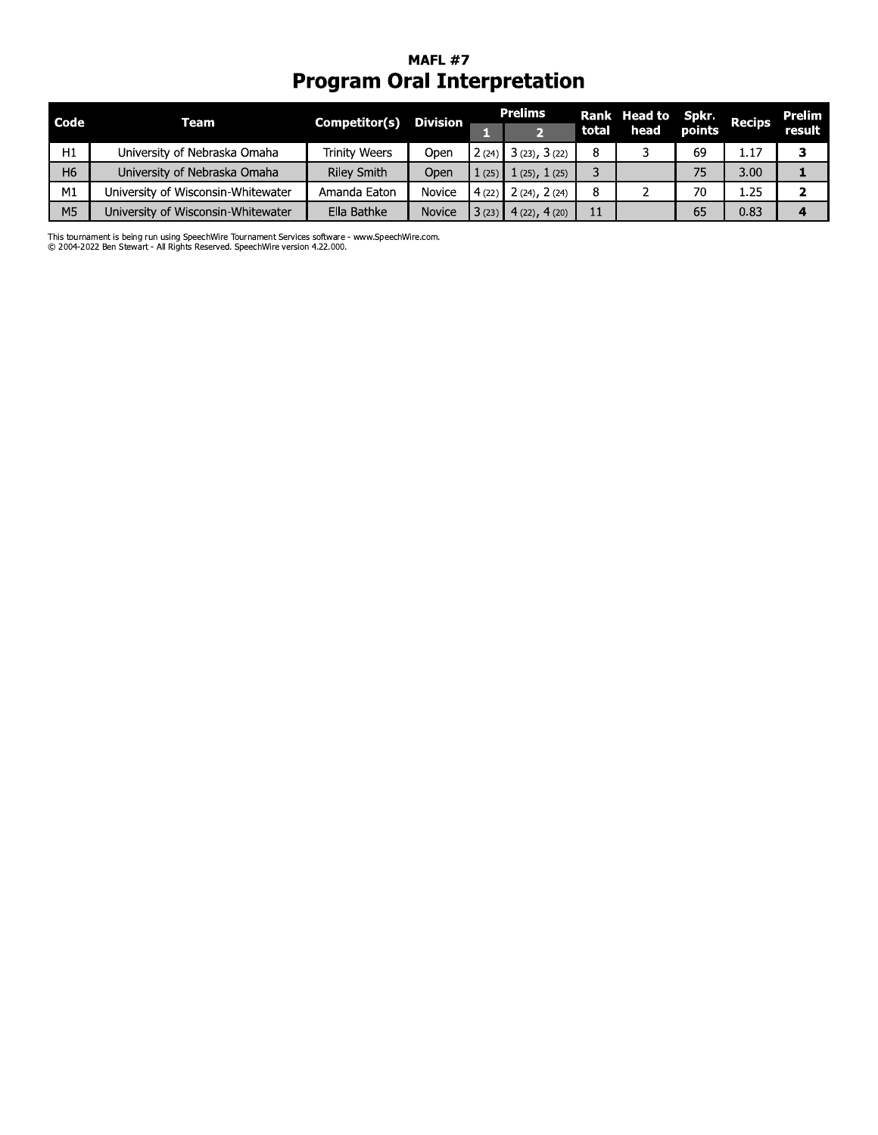# MAFL #7<br>**Program Oral Interpretation**

| <b>Code</b>    | Team                               | Competitor(s)      | Division      |       | <b>Prelims</b>            |       | Rank Head to Spkr. Recips |        |      | Prelim |
|----------------|------------------------------------|--------------------|---------------|-------|---------------------------|-------|---------------------------|--------|------|--------|
|                |                                    |                    |               |       |                           | total | head                      | points |      | result |
| H1             | University of Nebraska Omaha       | Trinity Weers      | Open          | 2(24) | 3(23), 3(22)              |       |                           | 69     | 1.17 |        |
| H <sub>6</sub> | University of Nebraska Omaha       | <b>Riley Smith</b> | Open          | 1(25) | 1(25), 1(25)              |       |                           | 75     | 3.00 |        |
| M <sub>1</sub> | University of Wisconsin-Whitewater | Amanda Eaton       | Novice        |       | $4(22)$ $2(24)$ , $2(24)$ |       |                           | 70     | 1.25 |        |
| M <sub>5</sub> | University of Wisconsin-Whitewater | Ella Bathke        | <b>Novice</b> | 3(23) | $4(22)$ , $4(20)$         | 11    |                           | 65     | 0.83 |        |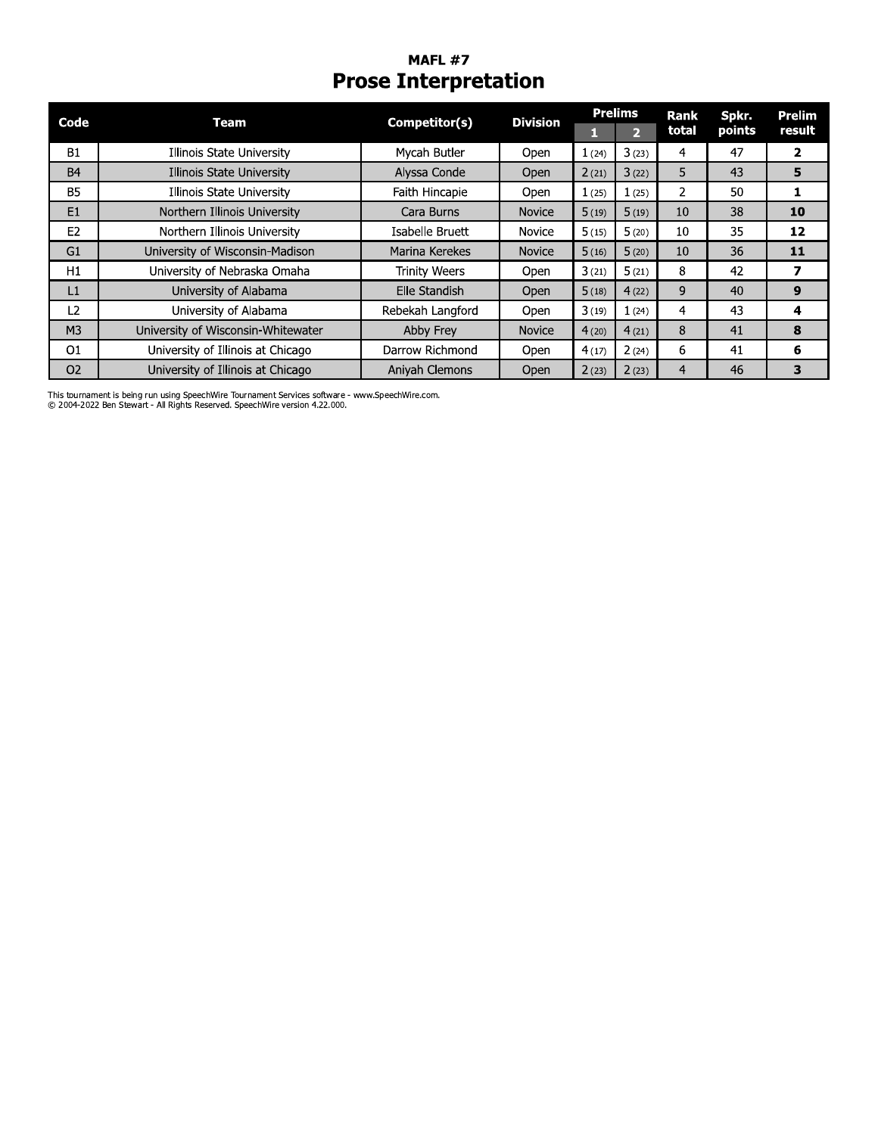#### **MAFL #7 Prose Interpretation**

| Code           | Team                               | Competitor(s)        | <b>Division</b> |       | <b>Prelims</b> | <b>Rank</b>    | Spkr.  | Prelim       |
|----------------|------------------------------------|----------------------|-----------------|-------|----------------|----------------|--------|--------------|
|                |                                    |                      |                 |       | Þ.             | total          | points | result       |
| <b>B1</b>      | Illinois State University          | Mycah Butler         | Open            | 1(24) | 3(23)          | 4              | 47     | $\mathbf{2}$ |
| <b>B4</b>      | Illinois State University          | Alyssa Conde         | Open            | 2(21) | 3(22)          | 5              | 43     | 5            |
| <b>B5</b>      | Illinois State University          | Faith Hincapie       | Open            | 1(25) | 1(25)          | 2              | 50     |              |
| E1             | Northern Illinois University       | Cara Burns           | <b>Novice</b>   | 5(19) | 5(19)          | 10             | 38     | 10           |
| E <sub>2</sub> | Northern Illinois University       | Isabelle Bruett      | Novice          | 5(15) | 5(20)          | 10             | 35     | 12           |
| G1             | University of Wisconsin-Madison    | Marina Kerekes       | <b>Novice</b>   | 5(16) | 5(20)          | 10             | 36     | 11           |
| H1             | University of Nebraska Omaha       | <b>Trinity Weers</b> | Open            | 3(21) | 5(21)          | 8              | 42     | 7            |
| L1             | University of Alabama              | Elle Standish        | Open            | 5(18) | 4(22)          | 9              | 40     | 9            |
| L <sub>2</sub> | University of Alabama              | Rebekah Langford     | Open            | 3(19) | 1(24)          | 4              | 43     | 4            |
| M <sub>3</sub> | University of Wisconsin-Whitewater | Abby Frey            | <b>Novice</b>   | 4(20) | 4(21)          | 8              | 41     | 8            |
| O <sub>1</sub> | University of Illinois at Chicago  | Darrow Richmond      | Open            | 4(17) | 2(24)          | 6              | 41     | 6            |
| O <sub>2</sub> | University of Illinois at Chicago  | Aniyah Clemons       | Open            | 2(23) | 2(23)          | $\overline{4}$ | 46     | 3            |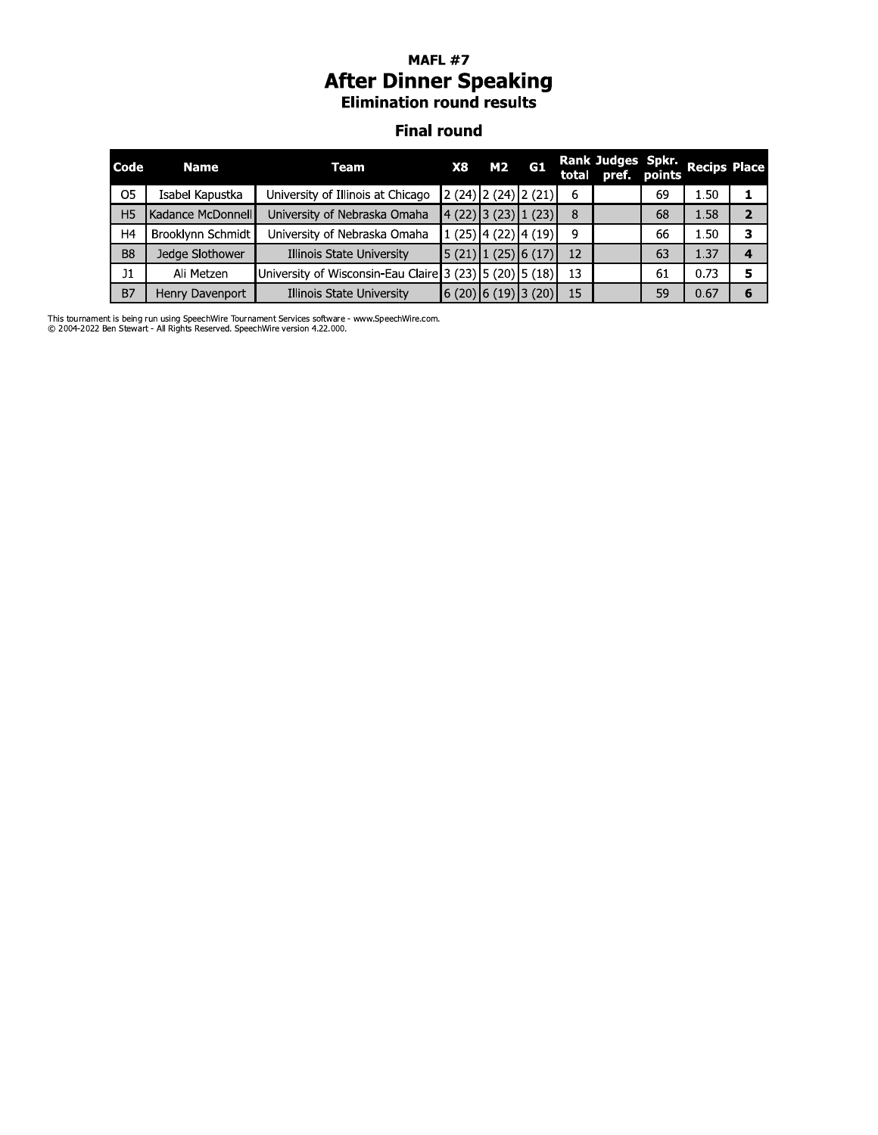# MAFL #7<br>**After Dinner Speaking**<br>Elimination round results

#### **Final round**

| Code           | <b>Name</b>       | Team                                                    | <b>X8</b> | <b>M2</b>                                   | G1 |    | Rank Judges Spkr.<br>total pref. points |    | <b>Recips Place</b> |                |
|----------------|-------------------|---------------------------------------------------------|-----------|---------------------------------------------|----|----|-----------------------------------------|----|---------------------|----------------|
| O <sub>5</sub> | Isabel Kapustka   | University of Illinois at Chicago                       |           | $2(24)$ $2(24)$ $2(21)$                     |    | 6  |                                         | 69 | 1.50                |                |
| H <sub>5</sub> | Kadance McDonnell | University of Nebraska Omaha                            |           | $(22)$ 3 (23) 1 (23)                        |    | 8  |                                         | 68 | 1.58                | $\overline{2}$ |
| H <sub>4</sub> | Brooklynn Schmidt | University of Nebraska Omaha                            |           | $1(25)$ 4 (22) 4 (19)                       |    | q  |                                         | 66 | 1.50                | 3              |
| <b>B8</b>      | Jedge Slothower   | Illinois State University                               |           | $\vert 5(21) \vert 1(25) \vert 6(17) \vert$ |    | 12 |                                         | 63 | 1.37                | 4              |
| J <sub>1</sub> | Ali Metzen        | University of Wisconsin-Eau Claire 3 (23) 5 (20) 5 (18) |           |                                             |    | 13 |                                         | 61 | 0.73                | 5              |
| <b>B7</b>      | Henry Davenport   | Illinois State University                               |           | 6 (20)  6 (19)  3 (20)                      |    | 15 |                                         | 59 | 0.67                | 6              |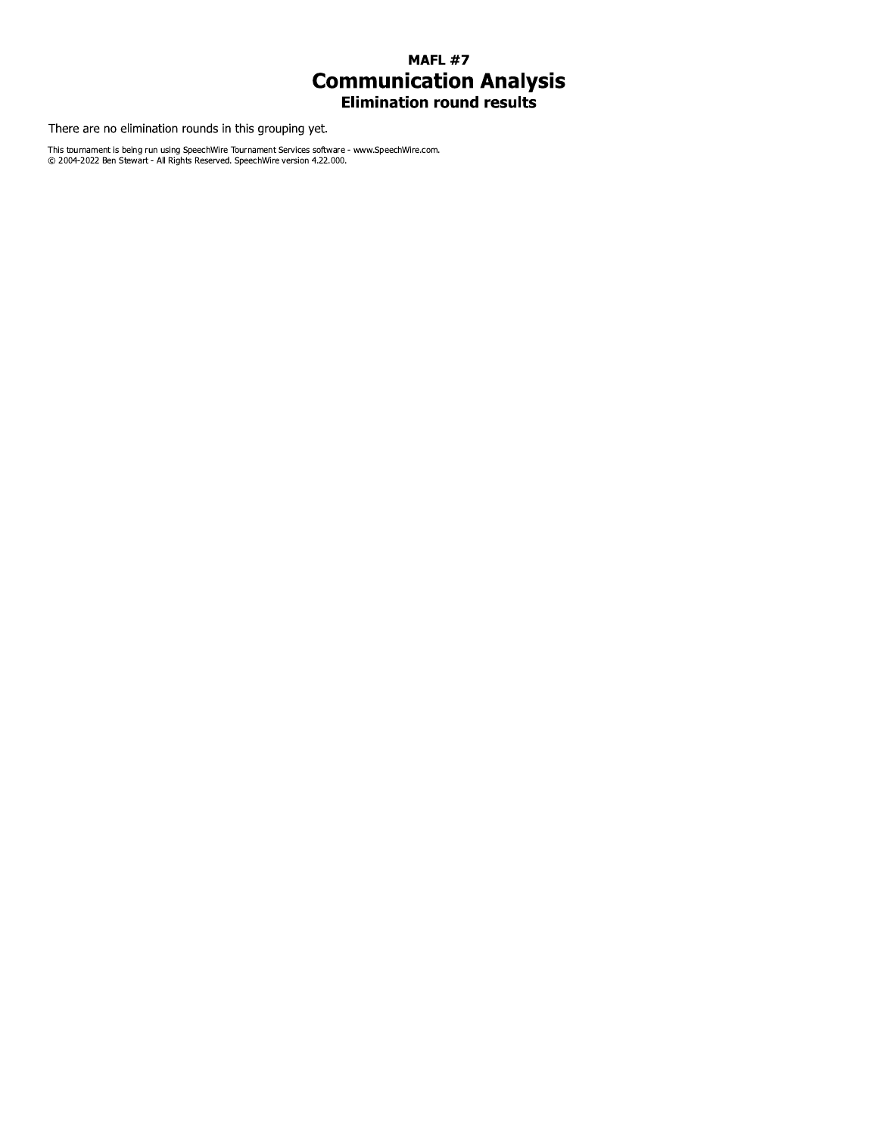# **MAFL #7 Communication Analysis**<br>Elimination round results

There are no elimination rounds in this grouping yet.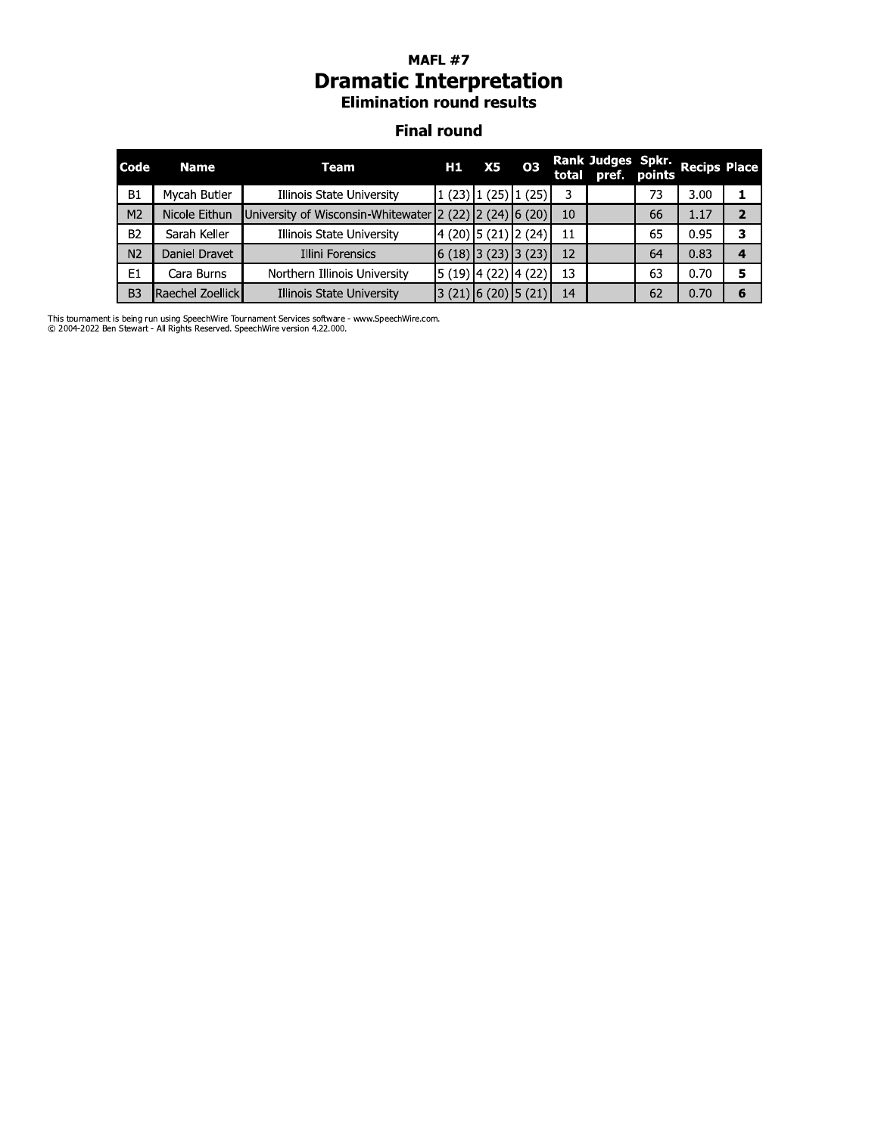#### MAFL  $\#$  / *Dramatic Interpretation* **Elimination round results**

#### Finai round

|                |                  | <b>Dramatic Interpretation</b><br><b>Elimination round results</b><br><b>Final round</b> | MAFL #7 |                         |       |    |                                         |    |                     |                |
|----------------|------------------|------------------------------------------------------------------------------------------|---------|-------------------------|-------|----|-----------------------------------------|----|---------------------|----------------|
| Code           | <b>Name</b>      | <b>Team</b>                                                                              | H1      | X5                      | 03    |    | Rank Judges Spkr.<br>total pref. points |    | <b>Recips Place</b> |                |
| <b>B1</b>      | Mycah Butler     | Illinois State University                                                                |         | $1(23)$ $1(25)$         | 1(25) | 3  |                                         | 73 | 3.00                | 1              |
| M <sub>2</sub> | Nicole Eithun    | University of Wisconsin-Whitewater 2 (22) 2 (24) 6 (20)                                  |         |                         |       | 10 |                                         | 66 | 1.17                | $\overline{2}$ |
| B <sub>2</sub> | Sarah Keller     | Illinois State University                                                                |         | $4(20)$ 5 (21) 2 (24)   |       | 11 |                                         | 65 | 0.95                | 3              |
| N <sub>2</sub> | Daniel Dravet    | Illini Forensics                                                                         |         | $(6(18))$ 3 (23) 3 (23) |       | 12 |                                         | 64 | 0.83                | 4              |
| E1             | Cara Burns       | Northern Illinois University                                                             |         | $5(19)$ 4 (22) 4 (22)   |       | 13 |                                         | 63 | 0.70                | 5.             |
| B <sub>3</sub> | Raechel Zoellick | Illinois State University                                                                |         | $(21)$ 6 (20) 5 (21)    |       | 14 |                                         | 62 | 0.70                | 6              |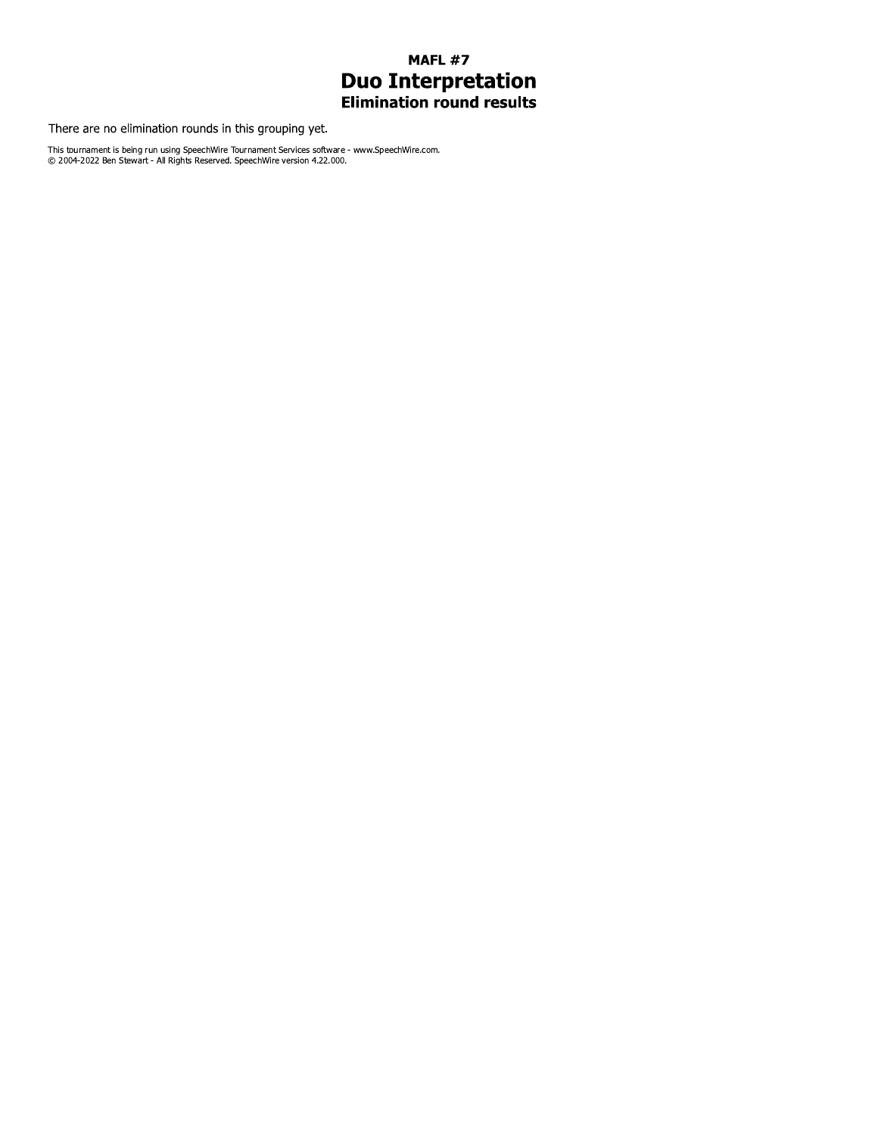# **MAFL #7 Duo Interpretation**<br>Elimination round results

There are no elimination rounds in this grouping yet.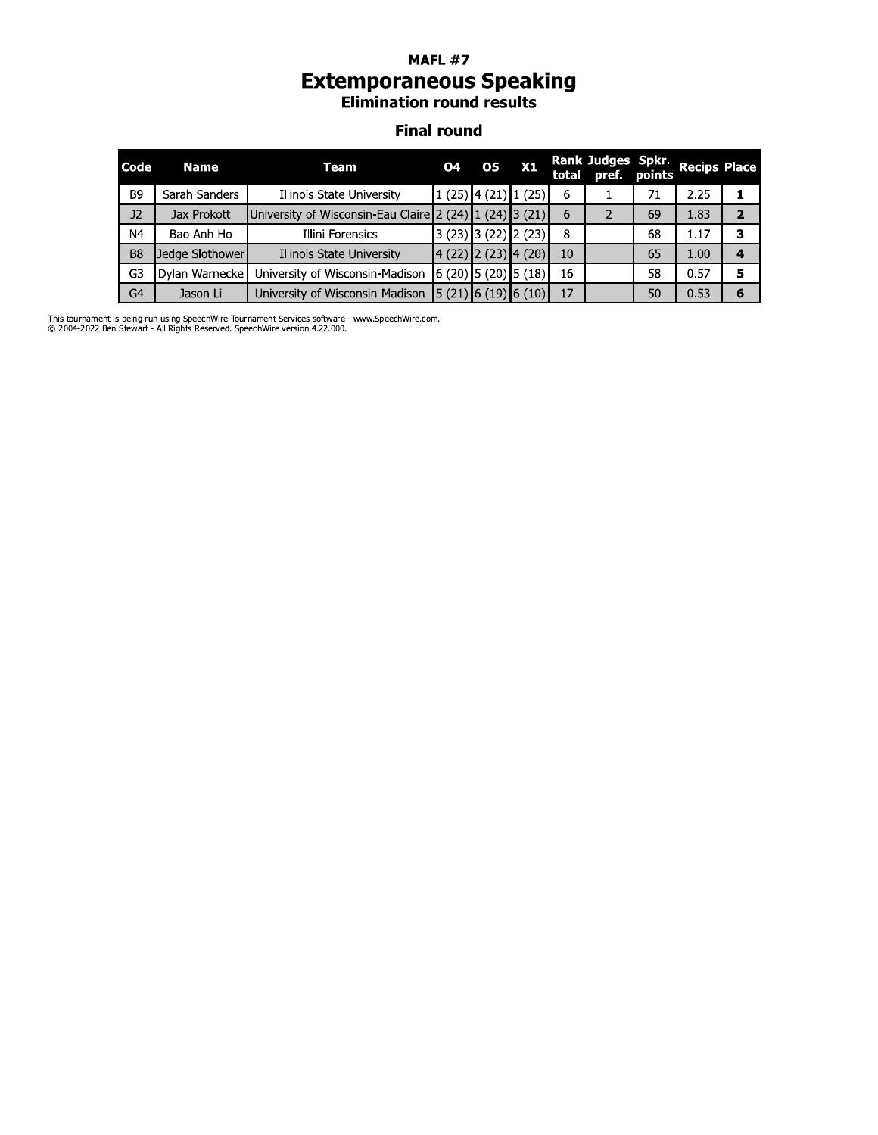# **MAFL #7 Extemporaneous Speaking**<br>Elimination round results

#### **Final round**

| <b>Code</b>    | <b>Name</b>     | Team                                                    | <b>O4</b> | 05                                          | X1 |    | Rank Judges Spkr.<br>total pref. points Recips Place |    |      |                         |
|----------------|-----------------|---------------------------------------------------------|-----------|---------------------------------------------|----|----|------------------------------------------------------|----|------|-------------------------|
| B <sub>9</sub> | Sarah Sanders   | Illinois State University                               |           | $1(25)$ 4 (21) $1(25)$                      |    | 6  |                                                      | 71 | 2.25 |                         |
| J2             | Jax Prokott     | University of Wisconsin-Eau Claire 2 (24) 1 (24) 3 (21) |           |                                             |    | 6  |                                                      | 69 | 1.83 | $\overline{\mathbf{2}}$ |
| N4             | Bao Anh Ho      | Illini Forensics                                        |           | $3(23)$ 3 (22) 2 (23)                       |    | 8  |                                                      | 68 | 1.17 | З                       |
| B <sub>8</sub> | Jedge Slothower | Illinois State University                               |           | $4(22)$ 2(23) 4(20)                         |    | 10 |                                                      | 65 | 1.00 | 4                       |
| G3             | Dylan Warnecke  | University of Wisconsin-Madison                         |           | $(6(20)$ 5 (20) 5 (18)                      |    | 16 |                                                      | 58 | 0.57 | 5                       |
| G <sub>4</sub> | Jason Li        | University of Wisconsin-Madison                         |           | $\vert 5(21) \vert 6(19) \vert 6(10) \vert$ |    | 17 |                                                      | 50 | 0.53 | 6                       |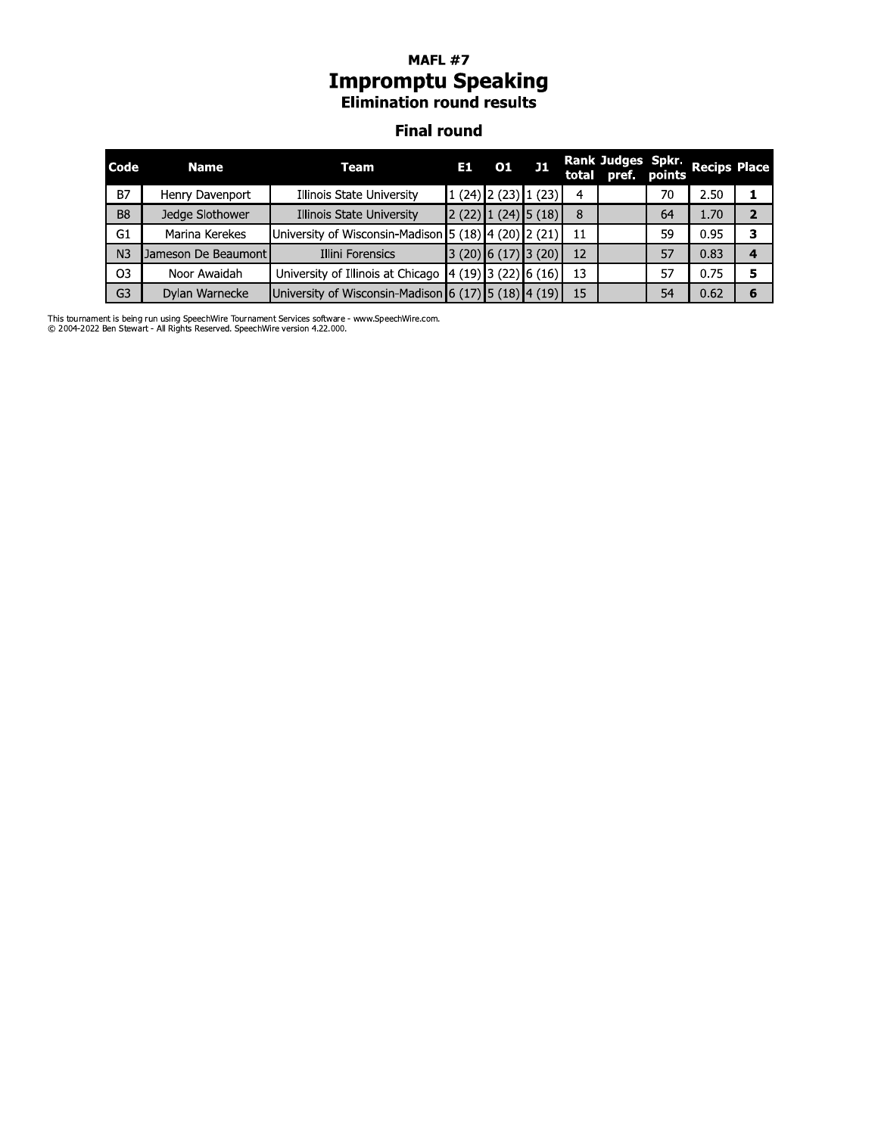#### MAFL  $\#$  / **Impromptu Speaking Elimination round results**

#### **Final round**

|                |                     | <b>Impromptu Speaking</b><br><b>Elimination round results</b> |       |       |                         |    |                                         |    |                     |              |
|----------------|---------------------|---------------------------------------------------------------|-------|-------|-------------------------|----|-----------------------------------------|----|---------------------|--------------|
|                |                     | <b>Final round</b>                                            |       |       |                         |    |                                         |    |                     |              |
| Code           | <b>Name</b>         | <b>Team</b>                                                   | E1.   |       | $01$ J1                 |    | Rank Judges Spkr.<br>total pref. points |    | <b>Recips Place</b> |              |
| <b>B7</b>      | Henry Davenport     | Illinois State University                                     |       |       | $1(24)$ $2(23)$ $1(23)$ | 4  |                                         | 70 | 2.50                |              |
| B <sub>8</sub> | Jedge Slothower     | Illinois State University                                     |       |       | $2(22)$ $1(24)$ $5(18)$ | 8  |                                         | 64 | 1.70                | $\mathbf{z}$ |
| G1             | Marina Kerekes      | University of Wisconsin-Madison 5 $(18)$ 4 $(20)$ 2 $(21)$    |       |       |                         | 11 |                                         | 59 | 0.95                | 3            |
| N <sub>3</sub> | Jameson De Beaumont | Illini Forensics                                              | 3(20) | 6(17) | 3(20)                   | 12 |                                         | 57 | 0.83                | 4            |
| O3             | Noor Awaidah        | University of Illinois at Chicago                             |       |       | 4(19) 3(22) 6(16)       | 13 |                                         | 57 | 0.75                | 5            |
| G <sub>3</sub> | Dylan Warnecke      | University of Wisconsin-Madison 6 $(17)$ 5 $(18)$ 4 $(19)$    |       |       |                         | 15 |                                         | 54 | 0.62                | 6            |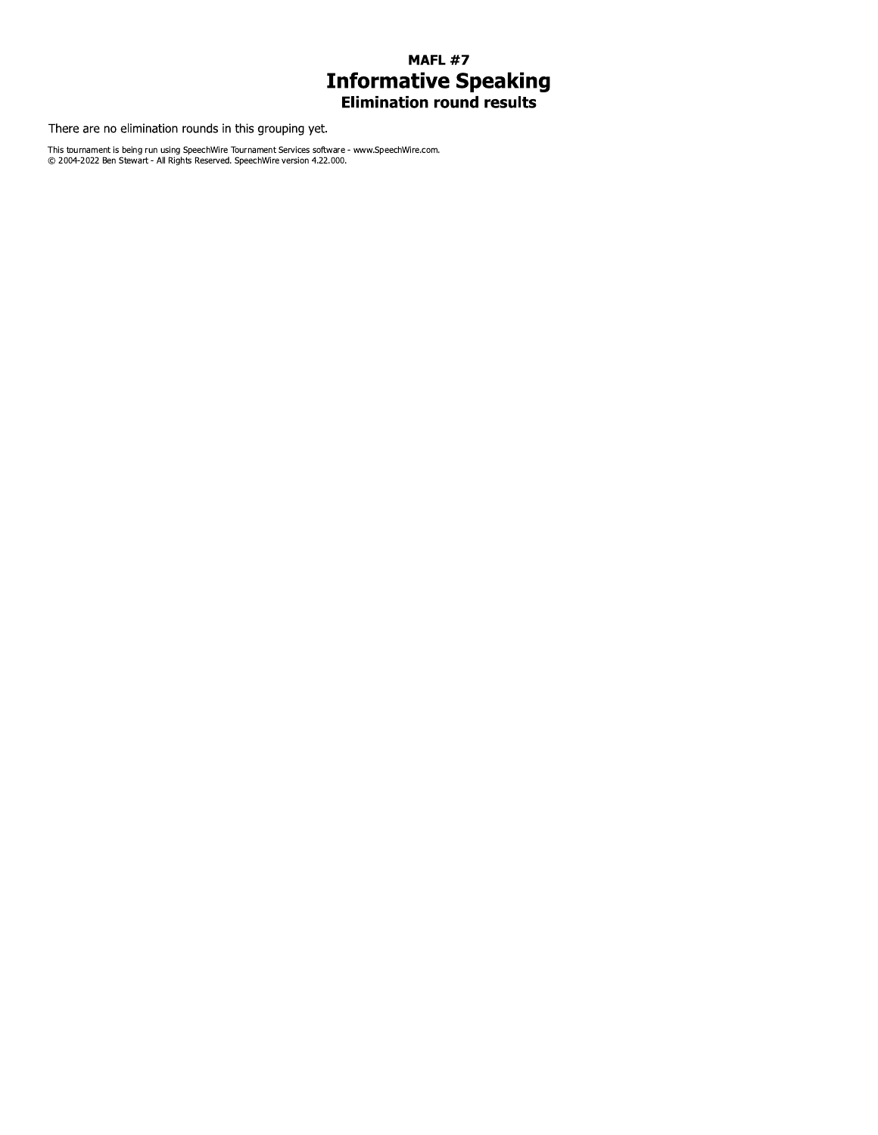# **MAFL #7 Informative Speaking**<br>Elimination round results

There are no elimination rounds in this grouping yet.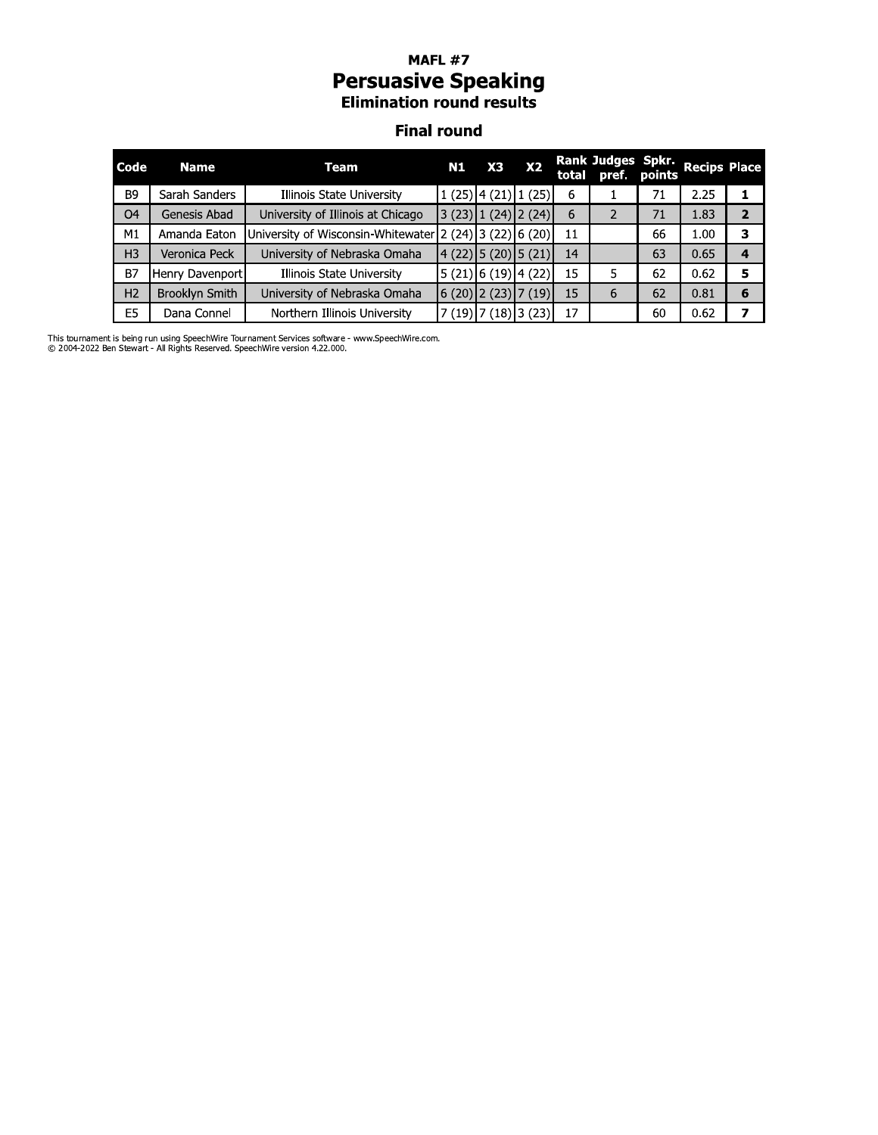# **MAFL #7 Persuasive Speaking**<br>Elimination round results

#### **Final round**

| Code           | Name            | Team                                                    | N1       | X3                                                | X <sub>2</sub>              |    | Rank Judges Spkr.<br>total pref. points Recips Place |    |      |                |
|----------------|-----------------|---------------------------------------------------------|----------|---------------------------------------------------|-----------------------------|----|------------------------------------------------------|----|------|----------------|
| <b>B9</b>      | Sarah Sanders   | Illinois State University                               |          | $1(25)$ 4 (21) 1 (25)                             |                             | 6  |                                                      | 71 | 2.25 |                |
| O <sub>4</sub> | Genesis Abad    | University of Illinois at Chicago                       |          |                                                   | $(23)$ $(24)$ $(24)$ $(24)$ | 6  |                                                      | 71 | 1.83 | $\overline{2}$ |
| M1             | Amanda Eaton    | University of Wisconsin-Whitewater 2 (24) 3 (22) 6 (20) |          |                                                   |                             | 11 |                                                      | 66 | 1.00 | 3              |
| H <sub>3</sub> | Veronica Peck   | University of Nebraska Omaha                            |          |                                                   | $4(22)$ 5 (20) 5 (21)       | 14 |                                                      | 63 | 0.65 | 4              |
| <b>B7</b>      | Henry Davenport | Illinois State University                               |          | $\vert 5 \, (21) \vert 6 \, (19) \vert 4 \, (22)$ |                             | 15 | 5                                                    | 62 | 0.62 | 5              |
| H <sub>2</sub> | Brooklyn Smith  | University of Nebraska Omaha                            |          |                                                   | $(6(20)$ 2 (23) 7 (19)      | 15 | 6                                                    | 62 | 0.81 | 6              |
| E <sub>5</sub> | Dana Connel     | Northern Illinois University                            | 7 (19)]; |                                                   | ′ (18)∣3 (23)               | 17 |                                                      | 60 | 0.62 | 7              |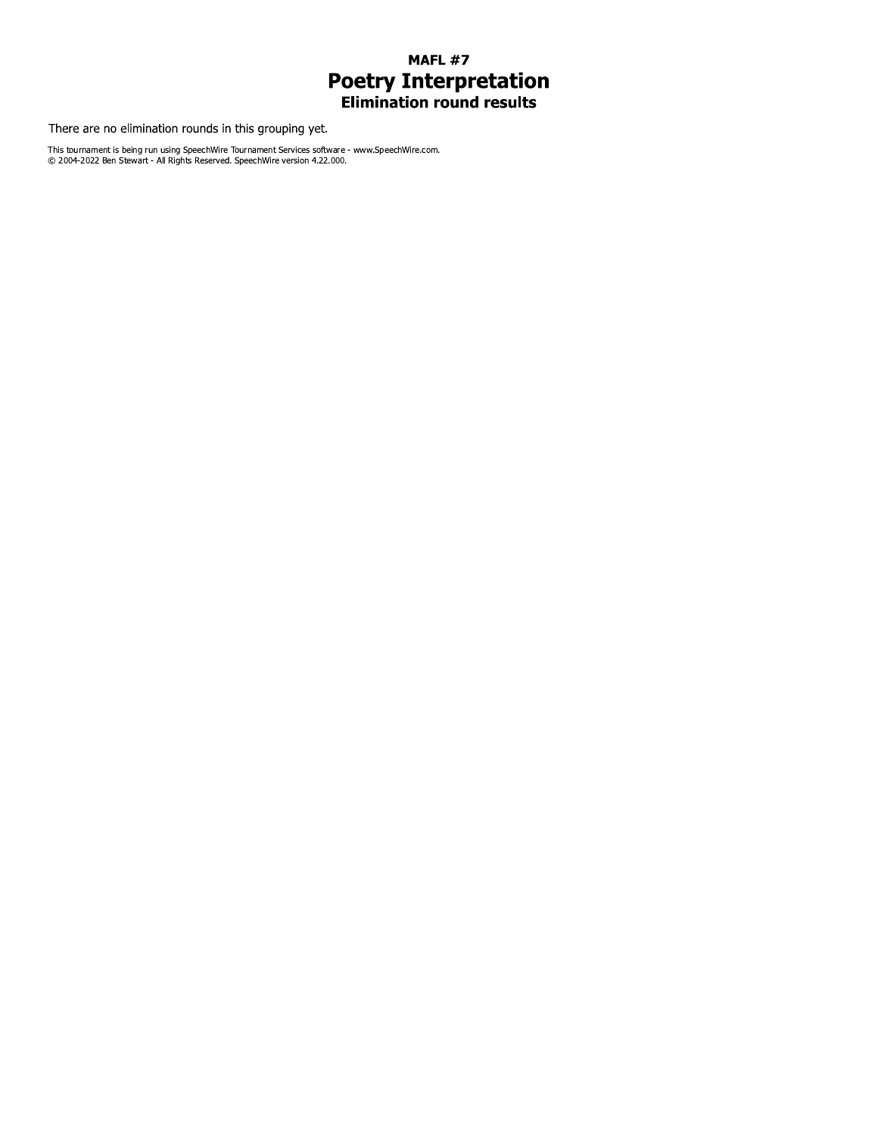## **MAFL #7 Poetry Interpretation**<br>Elimination round results

There are no elimination rounds in this grouping yet.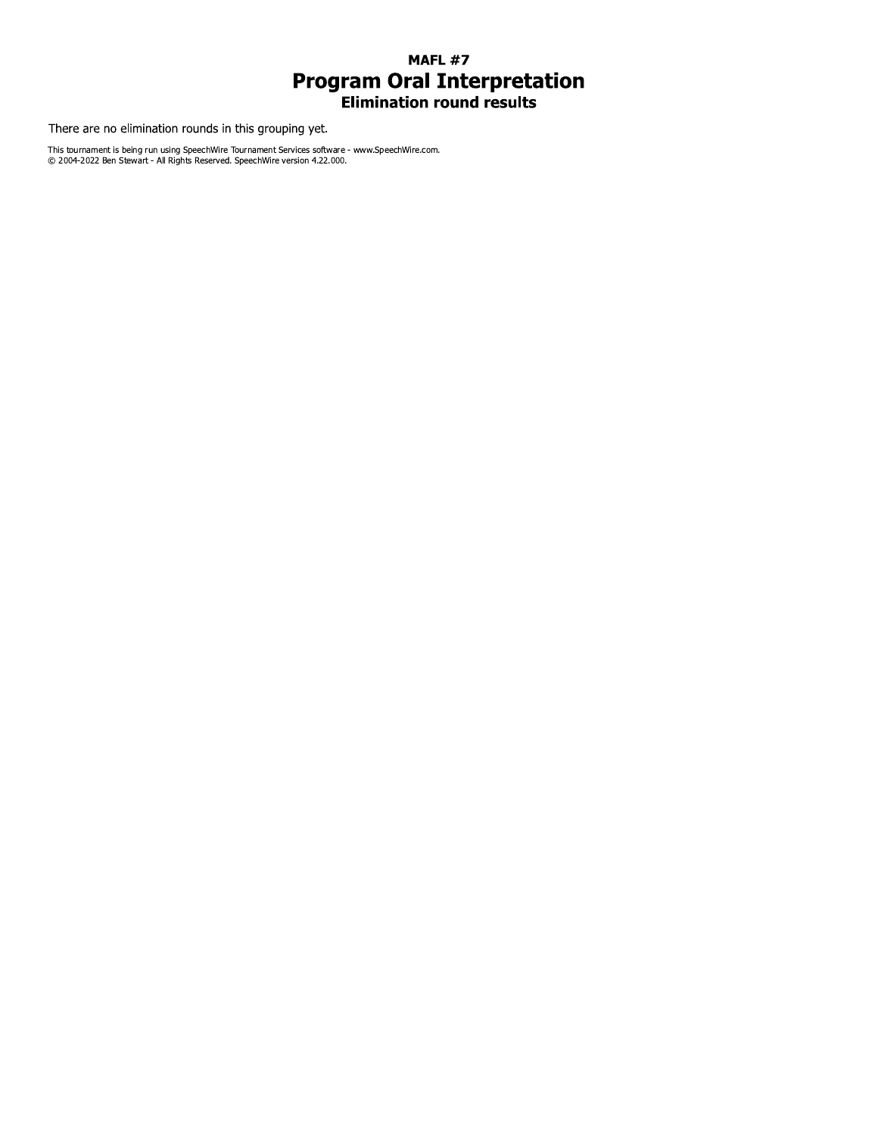## **MAFL #7 Program Oral Interpretation**<br>Elimination round results

There are no elimination rounds in this grouping yet.